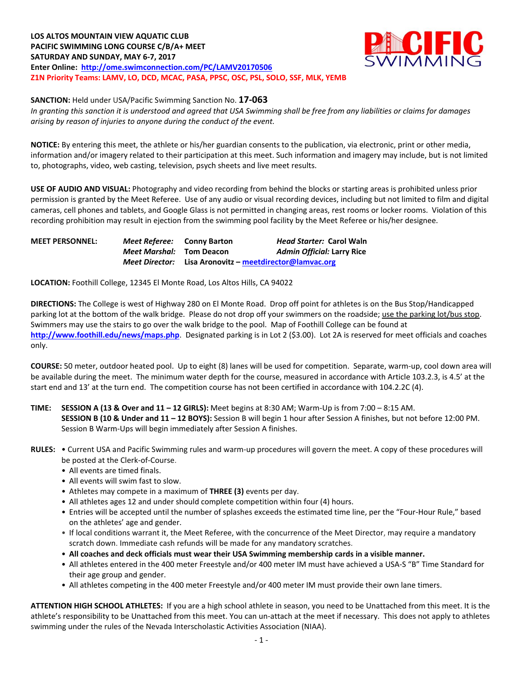**LOS ALTOS MOUNTAIN VIEW AQUATIC CLUB PACIFIC SWIMMING LONG COURSE C/B/A+ MEET SATURDAY AND SUNDAY, MAY 6-7, 2017 Enter Online: <http://ome.swimconnection.com/PC/LAMV20170506> Z1N Priority Teams: LAMV, LO, DCD, MCAC, PASA, PPSC, OSC, PSL, SOLO, SSF, MLK, YEMB**



**SANCTION:** Held under USA/Pacific Swimming Sanction No. **17-063**

*In granting this sanction it is understood and agreed that USA Swimming shall be free from any liabilities or claims for damages arising by reason of injuries to anyone during the conduct of the event.*

**NOTICE:** By entering this meet, the athlete or his/her guardian consents to the publication, via electronic, print or other media, information and/or imagery related to their participation at this meet. Such information and imagery may include, but is not limited to, photographs, video, web casting, television, psych sheets and live meet results.

**USE OF AUDIO AND VISUAL:** Photography and video recording from behind the blocks or starting areas is prohibited unless prior permission is granted by the Meet Referee. Use of any audio or visual recording devices, including but not limited to film and digital cameras, cell phones and tablets, and Google Glass is not permitted in changing areas, rest rooms or locker rooms. Violation of this recording prohibition may result in ejection from the swimming pool facility by the Meet Referee or his/her designee.

| <b>MEET PERSONNEL:</b> | <i>Meet Referee:</i> Conny Barton |                                          | <i>Head Starter: Carol Waln</i>   |
|------------------------|-----------------------------------|------------------------------------------|-----------------------------------|
|                        | <i>Meet Marshal:</i> Tom Deacon   |                                          | <b>Admin Official: Larry Rice</b> |
|                        | Meet Director:                    | Lisa Aronovitz – meetdirector@lamvac.org |                                   |

**LOCATION:** Foothill College, 12345 El Monte Road, Los Altos Hills, CA 94022

**DIRECTIONS:** The College is west of Highway 280 on El Monte Road. Drop off point for athletes is on the Bus Stop/Handicapped parking lot at the bottom of the walk bridge. Please do not drop off your swimmers on the roadside; use the parking lot/bus stop. Swimmers may use the stairs to go over the walk bridge to the pool. Map of Foothill College can be found at **<http://www.foothill.edu/news/maps.php>**. Designated parking is in Lot 2 (\$3.00). Lot 2A is reserved for meet officials and coaches only.

**COURSE:** 50 meter, outdoor heated pool. Up to eight (8) lanes will be used for competition. Separate, warm-up, cool down area will be available during the meet. The minimum water depth for the course, measured in accordance with Article 103.2.3, is 4.5' at the start end and 13' at the turn end. The competition course has not been certified in accordance with 104.2.2C (4).

# **TIME: SESSION A (13 & Over and 11 – 12 GIRLS):** Meet begins at 8:30 AM; Warm-Up is from 7:00 – 8:15 AM. **SESSION B (10 & Under and 11 – 12 BOYS):** Session B will begin 1 hour after Session A finishes, but not before 12:00 PM. Session B Warm-Ups will begin immediately after Session A finishes.

### **RULES:** • Current USA and Pacific Swimming rules and warm-up procedures will govern the meet. A copy of these procedures will be posted at the Clerk-of-Course.

- All events are timed finals.
- All events will swim fast to slow.
- Athletes may compete in a maximum of **THREE (3)** events per day.
- All athletes ages 12 and under should complete competition within four (4) hours.
- Entries will be accepted until the number of splashes exceeds the estimated time line, per the "Four-Hour Rule," based on the athletes' age and gender.
- If local conditions warrant it, the Meet Referee, with the concurrence of the Meet Director, may require a mandatory scratch down. Immediate cash refunds will be made for any mandatory scratches.
- **All coaches and deck officials must wear their USA Swimming membership cards in a visible manner.**
- All athletes entered in the 400 meter Freestyle and/or 400 meter IM must have achieved a USA-S "B" Time Standard for their age group and gender.
- All athletes competing in the 400 meter Freestyle and/or 400 meter IM must provide their own lane timers.

**ATTENTION HIGH SCHOOL ATHLETES:** If you are a high school athlete in season, you need to be Unattached from this meet. It is the athlete's responsibility to be Unattached from this meet. You can un-attach at the meet if necessary. This does not apply to athletes swimming under the rules of the Nevada Interscholastic Activities Association (NIAA).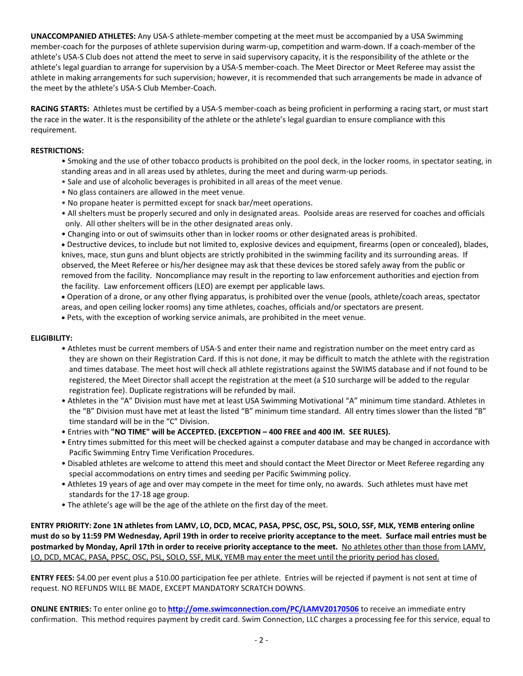**UNACCOMPANIED ATHLETES:** Any USA-S athlete-member competing at the meet must be accompanied by a USA Swimming member-coach for the purposes of athlete supervision during warm-up, competition and warm-down. If a coach-member of the athlete's USA-S Club does not attend the meet to serve in said supervisory capacity, it is the responsibility of the athlete or the athlete's legal guardian to arrange for supervision by a USA-S member-coach. The Meet Director or Meet Referee may assist the athlete in making arrangements for such supervision; however, it is recommended that such arrangements be made in advance of the meet by the athlete's USA-S Club Member-Coach.

**RACING STARTS:** Athletes must be certified by a USA-S member-coach as being proficient in performing a racing start, or must start the race in the water. It is the responsibility of the athlete or the athlete's legal guardian to ensure compliance with this requirement.

### **RESTRICTIONS:**

- Smoking and the use of other tobacco products is prohibited on the pool deck, in the locker rooms, in spectator seating, in standing areas and in all areas used by athletes, during the meet and during warm-up periods.
- Sale and use of alcoholic beverages is prohibited in all areas of the meet venue.
- No glass containers are allowed in the meet venue.
- No propane heater is permitted except for snack bar/meet operations.
- All shelters must be properly secured and only in designated areas. Poolside areas are reserved for coaches and officials only. All other shelters will be in the other designated areas only.
- Changing into or out of swimsuits other than in locker rooms or other designated areas is prohibited.

 Destructive devices, to include but not limited to, explosive devices and equipment, firearms (open or concealed), blades, knives, mace, stun guns and blunt objects are strictly prohibited in the swimming facility and its surrounding areas. If observed, the Meet Referee or his/her designee may ask that these devices be stored safely away from the public or removed from the facility. Noncompliance may result in the reporting to law enforcement authorities and ejection from the facility. Law enforcement officers (LEO) are exempt per applicable laws.

 Operation of a drone, or any other flying apparatus, is prohibited over the venue (pools, athlete/coach areas, spectator areas, and open ceiling locker rooms) any time athletes, coaches, officials and/or spectators are present.

Pets, with the exception of working service animals, are prohibited in the meet venue.

#### **ELIGIBILITY:**

- Athletes must be current members of USA-S and enter their name and registration number on the meet entry card as they are shown on their Registration Card. If this is not done, it may be difficult to match the athlete with the registration and times database. The meet host will check all athlete registrations against the SWIMS database and if not found to be registered, the Meet Director shall accept the registration at the meet (a \$10 surcharge will be added to the regular registration fee). Duplicate registrations will be refunded by mail.
- Athletes in the "A" Division must have met at least USA Swimming Motivational "A" minimum time standard. Athletes in the "B" Division must have met at least the listed "B" minimum time standard. All entry times slower than the listed "B" time standard will be in the "C" Division.
- Entries with **"NO TIME" will be ACCEPTED. (EXCEPTION – 400 FREE and 400 IM. SEE RULES).**
- Entry times submitted for this meet will be checked against a computer database and may be changed in accordance with Pacific Swimming Entry Time Verification Procedures.
- Disabled athletes are welcome to attend this meet and should contact the Meet Director or Meet Referee regarding any special accommodations on entry times and seeding per Pacific Swimming policy.
- Athletes 19 years of age and over may compete in the meet for time only, no awards. Such athletes must have met standards for the 17-18 age group.
- The athlete's age will be the age of the athlete on the first day of the meet.

**ENTRY PRIORITY: Zone 1N athletes from LAMV, LO, DCD, MCAC, PASA, PPSC, OSC, PSL, SOLO, SSF, MLK, YEMB entering online must do so by 11:59 PM Wednesday, April 19th in order to receive priority acceptance to the meet. Surface mail entries must be postmarked by Monday, April 17th in order to receive priority acceptance to the meet.** No athletes other than those from LAMV, LO, DCD, MCAC, PASA, PPSC, OSC, PSL, SOLO, SSF, MLK, YEMB may enter the meet until the priority period has closed.

**ENTRY FEES:** \$4.00 per event plus a \$10.00 participation fee per athlete. Entries will be rejected if payment is not sent at time of request. NO REFUNDS WILL BE MADE, EXCEPT MANDATORY SCRATCH DOWNS.

**ONLINE ENTRIES:** To enter online go to **<http://ome.swimconnection.com/PC/LAMV20170506>** to receive an immediate entry confirmation. This method requires payment by credit card. Swim Connection, LLC charges a processing fee for this service, equal to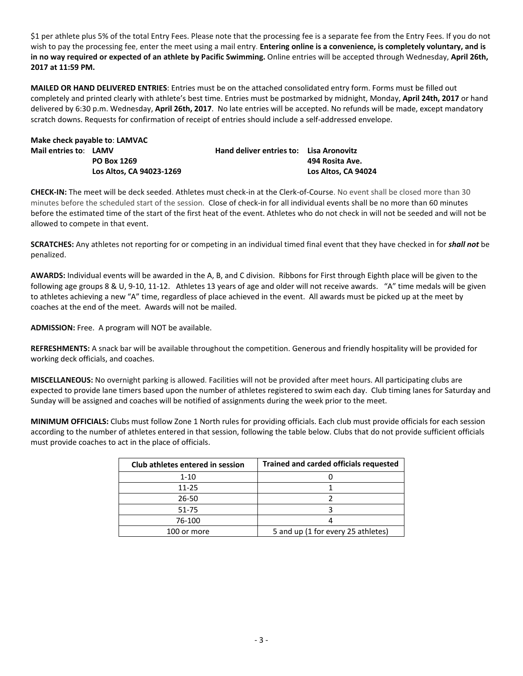\$1 per athlete plus 5% of the total Entry Fees. Please note that the processing fee is a separate fee from the Entry Fees. If you do not wish to pay the processing fee, enter the meet using a mail entry. **Entering online is a convenience, is completely voluntary, and is in no way required or expected of an athlete by Pacific Swimming.** Online entries will be accepted through Wednesday, **April 26th, 2017 at 11:59 PM.**

**MAILED OR HAND DELIVERED ENTRIES**: Entries must be on the attached consolidated entry form. Forms must be filled out completely and printed clearly with athlete's best time. Entries must be postmarked by midnight, Monday, **April 24th, 2017** or hand delivered by 6:30 p.m. Wednesday, **April 26th, 2017**. No late entries will be accepted. No refunds will be made, except mandatory scratch downs. Requests for confirmation of receipt of entries should include a self-addressed envelope.

|                       | Make check payable to: LAMVAC |                                                |                     |
|-----------------------|-------------------------------|------------------------------------------------|---------------------|
| Mail entries to: LAMV |                               | <b>Hand deliver entries to: Lisa Aronovitz</b> |                     |
|                       | PO Box 1269                   |                                                | 494 Rosita Ave.     |
|                       | Los Altos, CA 94023-1269      |                                                | Los Altos. CA 94024 |

**CHECK-IN:** The meet will be deck seeded. Athletes must check-in at the Clerk-of-Course. No event shall be closed more than 30 minutes before the scheduled start of the session. Close of check-in for all individual events shall be no more than 60 minutes before the estimated time of the start of the first heat of the event. Athletes who do not check in will not be seeded and will not be allowed to compete in that event.

**SCRATCHES:** Any athletes not reporting for or competing in an individual timed final event that they have checked in for *shall not* be penalized.

**AWARDS:** Individual events will be awarded in the A, B, and C division. Ribbons for First through Eighth place will be given to the following age groups 8 & U, 9-10, 11-12. Athletes 13 years of age and older will not receive awards. "A" time medals will be given to athletes achieving a new "A" time, regardless of place achieved in the event. All awards must be picked up at the meet by coaches at the end of the meet. Awards will not be mailed.

**ADMISSION:** Free. A program will NOT be available.

**REFRESHMENTS:** A snack bar will be available throughout the competition. Generous and friendly hospitality will be provided for working deck officials, and coaches.

**MISCELLANEOUS:** No overnight parking is allowed. Facilities will not be provided after meet hours. All participating clubs are expected to provide lane timers based upon the number of athletes registered to swim each day. Club timing lanes for Saturday and Sunday will be assigned and coaches will be notified of assignments during the week prior to the meet.

**MINIMUM OFFICIALS:** Clubs must follow Zone 1 North rules for providing officials. Each club must provide officials for each session according to the number of athletes entered in that session, following the table below. Clubs that do not provide sufficient officials must provide coaches to act in the place of officials.

| Club athletes entered in session | <b>Trained and carded officials requested</b> |
|----------------------------------|-----------------------------------------------|
| 1-10                             |                                               |
| $11 - 25$                        |                                               |
| 26-50                            |                                               |
| 51-75                            |                                               |
| 76-100                           |                                               |
| 100 or more                      | 5 and up (1 for every 25 athletes)            |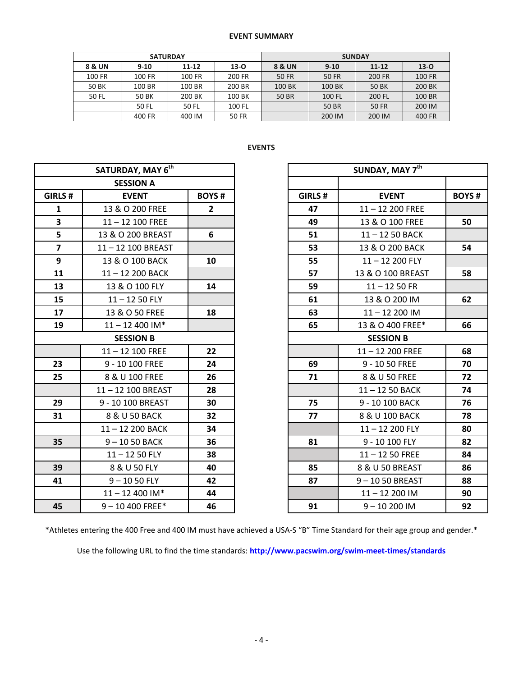|        | <b>SATURDAY</b> |           |        | <b>SUNDAY</b> |              |              |          |  |  |
|--------|-----------------|-----------|--------|---------------|--------------|--------------|----------|--|--|
| 8 & UN | $9 - 10$        | $11 - 12$ | $13-0$ | 8 & UN        | $9 - 10$     | $11 - 12$    | $13 - 0$ |  |  |
| 100 FR | 100 FR          | 100 FR    | 200 FR | 50 FR         | 50 FR        | 200 FR       | 100 FR   |  |  |
| 50 BK  | 100 BR          | 100 BR    | 200 BR | 100 BK        | 100 BK       | 50 BK        | 200 BK   |  |  |
| 50 FL  | 50 BK           | 200 BK    | 100 BK | 50 BR         | 100 FL       | 200 FL       | 100 BR   |  |  |
|        | 50 FL           | 50 FL     | 100 FL |               | <b>50 BR</b> | <b>50 FR</b> | 200 IM   |  |  |
|        | 400 FR          | 400 IM    | 50 FR  |               | 200 IM       | 200 IM       | 400 FR   |  |  |

# **EVENTS**

|                | SATURDAY, MAY 6th  |                |         |                  | SUNDAY, MAY 7th   |              |  |  |
|----------------|--------------------|----------------|---------|------------------|-------------------|--------------|--|--|
|                | <b>SESSION A</b>   |                |         |                  |                   |              |  |  |
| GIRLS #        | <b>EVENT</b>       | <b>BOYS#</b>   | GIRLS # |                  | <b>EVENT</b>      | <b>BOYS#</b> |  |  |
| $\mathbf{1}$   | 13 & O 200 FREE    | $\overline{2}$ | 47      |                  | $11 - 12200$ FREE |              |  |  |
| 3              | $11 - 12$ 100 FREE |                | 49      |                  | 13 & O 100 FREE   | 50           |  |  |
| 5              | 13 & O 200 BREAST  | 6              | 51      |                  | 11-12 50 BACK     |              |  |  |
| $\overline{7}$ | 11-12 100 BREAST   |                | 53      |                  | 13 & O 200 BACK   | 54           |  |  |
| 9              | 13 & O 100 BACK    | 10             | 55      |                  | $11 - 12200$ FLY  |              |  |  |
| 11             | 11-12 200 BACK     |                | 57      |                  | 13 & O 100 BREAST | 58           |  |  |
| 13             | 13 & O 100 FLY     | 14             | 59      |                  | $11 - 1250$ FR    |              |  |  |
| 15             | $11 - 1250$ FLY    |                | 61      |                  | 13 & O 200 IM     | 62           |  |  |
| 17             | 13 & O 50 FREE     | 18             | 63      |                  | $11 - 12200$ IM   |              |  |  |
| 19             | $11 - 12400$ IM*   |                | 65      |                  | 13 & O 400 FREE*  | 66           |  |  |
|                | <b>SESSION B</b>   |                |         | <b>SESSION B</b> |                   |              |  |  |
|                | $11 - 12$ 100 FREE | 22             |         |                  | $11 - 12200$ FREE | 68           |  |  |
| 23             | 9 - 10 100 FREE    | 24             | 69      |                  | 9 - 10 50 FREE    | 70           |  |  |
| 25             | 8 & U 100 FREE     | 26             | 71      |                  | 8 & U 50 FREE     | 72           |  |  |
|                | 11-12 100 BREAST   | 28             |         |                  | 11-12 50 BACK     | 74           |  |  |
| 29             | 9 - 10 100 BREAST  | 30             | 75      |                  | 9 - 10 100 BACK   | 76           |  |  |
| 31             | 8 & U 50 BACK      | 32             | 77      |                  | 8 & U 100 BACK    | 78           |  |  |
|                | 11-12 200 BACK     | 34             |         |                  | $11 - 12200$ FLY  | 80           |  |  |
| 35             | 9-1050 BACK        | 36             | 81      |                  | 9 - 10 100 FLY    | 82           |  |  |
|                | $11 - 1250$ FLY    | 38             |         |                  | $11 - 1250$ FREE  | 84           |  |  |
| 39             | 8 & U 50 FLY       | 40             | 85      |                  | 8 & U 50 BREAST   | 86           |  |  |
| 41             | $9 - 1050$ FLY     | 42             | 87      |                  | 9-1050 BREAST     | 88           |  |  |
|                | $11 - 12$ 400 IM*  | 44             |         |                  | $11 - 12200$ IM   | 90           |  |  |
| 45             | $9 - 10400$ FREE*  | 46             | 91      |                  | $9 - 10200$ IM    | 92           |  |  |

|                             | SATURDAY, MAY 6 <sup>th</sup> |                |         | SUNDAY, MAY 7th   |              |  |
|-----------------------------|-------------------------------|----------------|---------|-------------------|--------------|--|
|                             | <b>SESSION A</b>              |                |         |                   |              |  |
| RLS#                        | <b>EVENT</b>                  | <b>BOYS#</b>   | GIRLS # | <b>EVENT</b>      | <b>BOYS#</b> |  |
| 1                           | 13 & O 200 FREE               | $\overline{2}$ | 47      | 11-12 200 FREE    |              |  |
| $\frac{3}{5}$ $\frac{5}{7}$ | $11 - 12$ 100 FREE            |                | 49      | 13 & O 100 FREE   | 50           |  |
|                             | 13 & O 200 BREAST             | 6              | 51      | 11-12 50 BACK     |              |  |
|                             | 11-12 100 BREAST              |                | 53      | 13 & O 200 BACK   | 54           |  |
| $\overline{9}$              | 13 & O 100 BACK               | 10             | 55      | $11 - 12200$ FLY  |              |  |
| $\overline{1}$              | 11-12 200 BACK                |                | 57      | 13 & O 100 BREAST | 58           |  |
| L3                          | 13 & O 100 FLY                | 14             | 59      | $11 - 1250$ FR    |              |  |
| $\overline{5}$              | $11 - 1250$ FLY               |                | 61      | 13 & O 200 IM     | 62           |  |
| $\overline{z}$              | 13 & O 50 FREE                | 18             | 63      | $11 - 12200$ IM   |              |  |
| L9                          | $11 - 12$ 400 IM*             |                | 65      | 13 & O 400 FREE*  | 66           |  |
|                             | <b>SESSION B</b>              |                |         | <b>SESSION B</b>  |              |  |
|                             | $11 - 12$ 100 FREE            | 22             |         | $11 - 12200$ FREE | 68           |  |
| $\overline{\mathbf{3}}$     | 9 - 10 100 FREE               | 24             | 69      | 9 - 10 50 FREE    | 70           |  |
| $\overline{\mathbf{5}}$     | 8 & U 100 FREE                | 26             | 71      | 8 & U 50 FREE     | 72           |  |
|                             | 11-12 100 BREAST              | 28             |         | 11-12 50 BACK     | 74           |  |
| 9                           | 9 - 10 100 BREAST             | 30             | 75      | 9 - 10 100 BACK   | 76           |  |
| 1                           | 8 & U 50 BACK                 | 32             | 77      | 8 & U 100 BACK    | 78           |  |
|                             | 11-12 200 BACK                | 34             |         | $11 - 12200$ FLY  | 80           |  |
| 5 <sup>5</sup>              | $9 - 1050$ BACK               | 36             | 81      | 9 - 10 100 FLY    | 82           |  |
|                             | $11 - 1250$ FLY               | 38             |         | $11 - 1250$ FREE  | 84           |  |
| $9^{\circ}$                 | 8 & U 50 FLY                  | 40             | 85      | 8 & U 50 BREAST   | 86           |  |
| $\mathbf{1}$                | $9 - 1050$ FLY                | 42             | 87      | 9-1050 BREAST     | 88           |  |
|                             | $11 - 12400$ IM*              | 44             |         | 11-12 200 IM      | 90           |  |
| 5 <sup>1</sup>              | $9 - 10$ 400 FREE*            | 46             | 91      | $9 - 10200$ IM    | 92           |  |

\*Athletes entering the 400 Free and 400 IM must have achieved a USA-S "B" Time Standard for their age group and gender.\*

Use the following URL to find the time standards: **<http://www.pacswim.org/swim-meet-times/standards>**